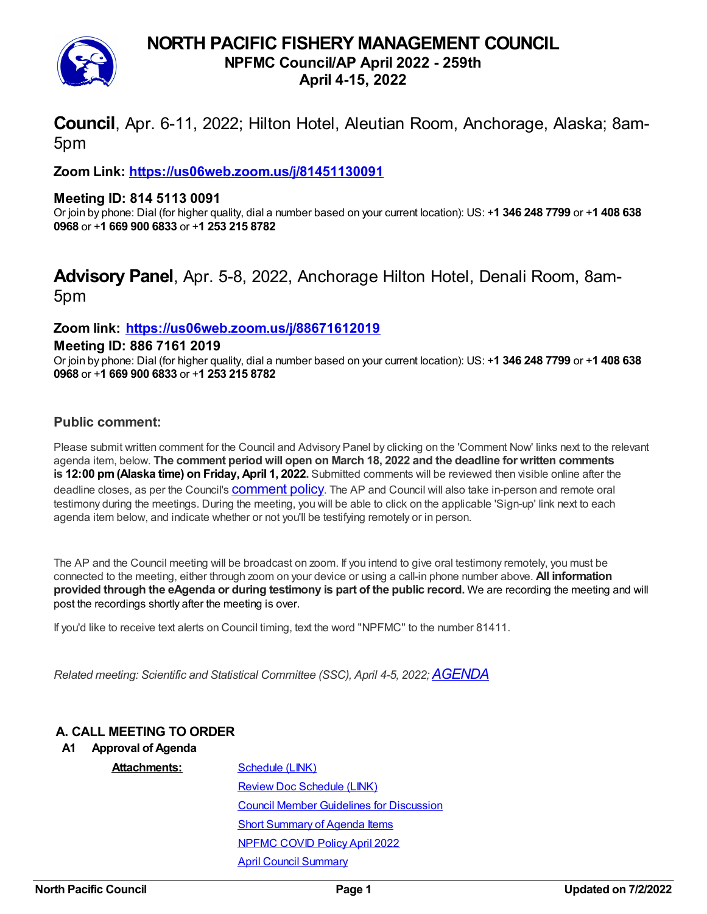# **NORTH PACIFIC FISHERY MANAGEMENT COUNCIL**



## **NPFMC Council/AP April 2022 - 259th**

**April 4-15, 2022**

**Council**, Apr. 6-11, 2022; Hilton Hotel, Aleutian Room, Anchorage, Alaska; 8am-5pm

**Zoom Link: <https://us06web.zoom.us/j/81451130091>**

### **Meeting ID: 814 5113 0091**

Or join by phone: Dial (for higher quality, dial a number based on your current location): US: +**1 346 248 7799** or +**1 408 638 0968** or +**1 669 900 6833** or +**1 253 215 8782**

**Advisory Panel**, Apr. 5-8, 2022, Anchorage Hilton Hotel, Denali Room, 8am-5pm

#### **Zoom link: <https://us06web.zoom.us/j/88671612019>**

#### **Meeting ID: 886 7161 2019**

Or join by phone: Dial (for higher quality, dial a number based on your current location): US: +**1 346 248 7799** or +**1 408 638 0968** or +**1 669 900 6833** or +**1 253 215 8782**

#### **Public comment:**

Please submit written comment for the Council and Advisory Panel by clicking on the 'Comment Now' links next to the relevant agenda item, below. **The comment period will open on March 18, 2022 and the deadline for written comments is 12:00 pm(Alaska time) on Friday, April 1, 2022.** Submitted comments will be reviewed then visible online after the deadline closes, as per the Council's **[comment](https://www.npfmc.org/public-comment-policy/) policy**. The AP and Council will also take in-person and remote oral testimony during the meetings. During the meeting, you will be able to click on the applicable 'Sign-up' link next to each agenda item below, and indicate whether or not you'll be testifying remotely or in person.

The AP and the Council meeting will be broadcast on zoom. If you intend to give oral testimony remotely, you must be connected to the meeting, either through zoom on your device or using a call-in phone number above. **All information provided through the eAgenda or during testimony is part of the public record.** We are recording the meeting and will post the recordings shortly after the meeting is over.

If you'd like to receive text alerts on Council timing, text the word "NPFMC" to the number 81411.

*Related meeting: Scientific and Statistical Committee (SSC), April 4-5, 2022;[AGENDA](https://meetings.npfmc.org/2855)*

#### **A. CALL MEETING TO ORDER**

| A1                  | <b>Approval of Agenda</b> |                                                 |  |  |
|---------------------|---------------------------|-------------------------------------------------|--|--|
| <b>Attachments:</b> |                           | <b>Schedule (LINK)</b>                          |  |  |
|                     |                           | Review Doc Schedule (LINK)                      |  |  |
|                     |                           | <b>Council Member Guidelines for Discussion</b> |  |  |
|                     |                           | <b>Short Summary of Agenda Items</b>            |  |  |
|                     |                           | <b>NPFMC COVID Policy April 2022</b>            |  |  |
|                     |                           | <b>April Council Summary</b>                    |  |  |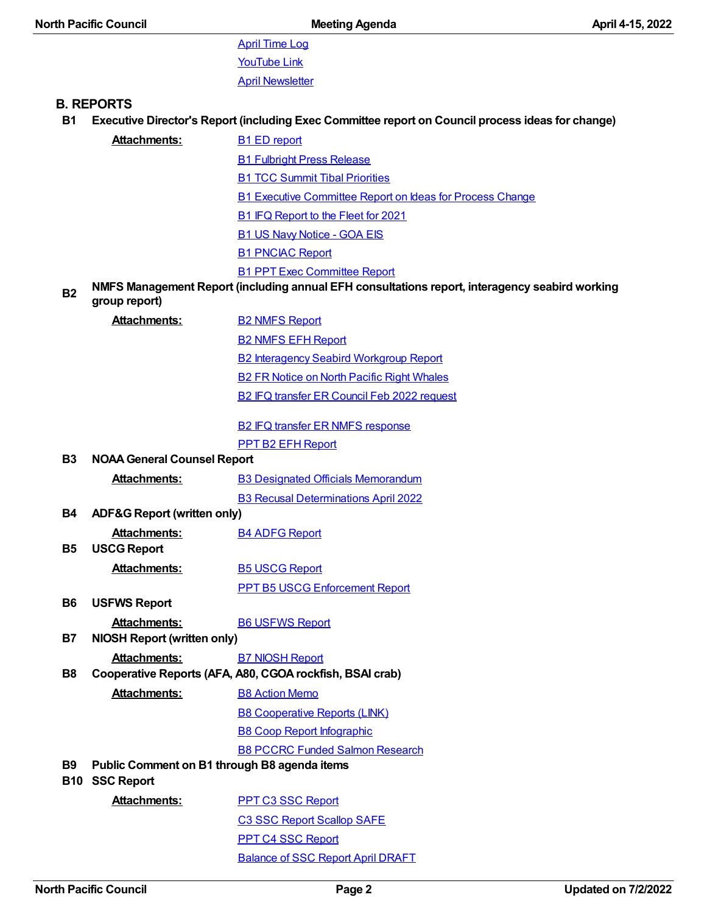| <b>April Time Log</b>   |
|-------------------------|
| <b>YouTube Link</b>     |
| <b>April Newsletter</b> |

### **B. REPORTS**

**B1 Executive Director's Report (including Exec Committee report on Council process ideas for change)**

|                | <b>Attachments:</b>                                                                                             | <b>B1 ED report</b>                                              |
|----------------|-----------------------------------------------------------------------------------------------------------------|------------------------------------------------------------------|
|                |                                                                                                                 | <b>B1 Fulbright Press Release</b>                                |
|                |                                                                                                                 | <b>B1 TCC Summit Tibal Priorities</b>                            |
|                |                                                                                                                 | <b>B1 Executive Committee Report on Ideas for Process Change</b> |
|                |                                                                                                                 | <b>B1 IFQ Report to the Fleet for 2021</b>                       |
|                |                                                                                                                 | <b>B1 US Navy Notice - GOA EIS</b>                               |
|                |                                                                                                                 | <b>B1 PNCIAC Report</b>                                          |
|                |                                                                                                                 | <b>B1 PPT Exec Committee Report</b>                              |
| <b>B2</b>      | NMFS Management Report (including annual EFH consultations report, interagency seabird working<br>group report) |                                                                  |
|                | <b>Attachments:</b>                                                                                             | <b>B2 NMFS Report</b>                                            |
|                |                                                                                                                 | <b>B2 NMFS EFH Report</b>                                        |
|                |                                                                                                                 | <b>B2 Interagency Seabird Workgroup Report</b>                   |
|                |                                                                                                                 | <b>B2 FR Notice on North Pacific Right Whales</b>                |
|                |                                                                                                                 | <b>B2 IFQ transfer ER Council Feb 2022 request</b>               |
|                |                                                                                                                 | <b>B2 IFQ transfer ER NMFS response</b>                          |
|                |                                                                                                                 | <b>PPT B2 EFH Report</b>                                         |
| <b>B3</b>      | <b>NOAA General Counsel Report</b>                                                                              |                                                                  |
|                | <b>Attachments:</b>                                                                                             | <b>B3 Designated Officials Memorandum</b>                        |
|                |                                                                                                                 | <b>B3 Recusal Determinations April 2022</b>                      |
| <b>B4</b>      | <b>ADF&amp;G Report (written only)</b>                                                                          |                                                                  |
| <b>B5</b>      | <b>Attachments:</b><br><b>USCG Report</b>                                                                       | <b>B4 ADFG Report</b>                                            |
|                | <b>Attachments:</b>                                                                                             | <b>B5 USCG Report</b>                                            |
|                |                                                                                                                 | <b>PPT B5 USCG Enforcement Report</b>                            |
| <b>B6</b>      | <b>USFWS Report</b>                                                                                             |                                                                  |
|                | <b>Attachments:</b>                                                                                             | <b>B6 USFWS Report</b>                                           |
| Β7             | <b>NIOSH Report (written only)</b>                                                                              |                                                                  |
|                | <b>Attachments:</b>                                                                                             | <b>B7 NIOSH Report</b>                                           |
| B <sub>8</sub> |                                                                                                                 | Cooperative Reports (AFA, A80, CGOA rockfish, BSAI crab)         |
|                | <b>Attachments:</b>                                                                                             | <b>B8 Action Memo</b>                                            |
|                |                                                                                                                 | <b>B8 Cooperative Reports (LINK)</b>                             |
|                |                                                                                                                 | <b>B8 Coop Report Infographic</b>                                |
| <b>B</b> 9     | Public Comment on B1 through B8 agenda items                                                                    | <b>B8 PCCRC Funded Salmon Research</b>                           |
|                | <b>B10 SSC Report</b>                                                                                           |                                                                  |
|                | <b>Attachments:</b>                                                                                             | <b>PPT C3 SSC Report</b>                                         |
|                |                                                                                                                 | <b>C3 SSC Report Scallop SAFE</b>                                |
|                |                                                                                                                 | <b>PPT C4 SSC Report</b>                                         |

[Balance](https://meetings.npfmc.org/CommentReview/DownloadFile?p=8efd8cbd-fd85-448e-8dc1-301b9dda7127.pdf&fileName=Balance%20of%20SSC%20Report%20April%20DRAFT%20.pdf) of SSC Report April DRAFT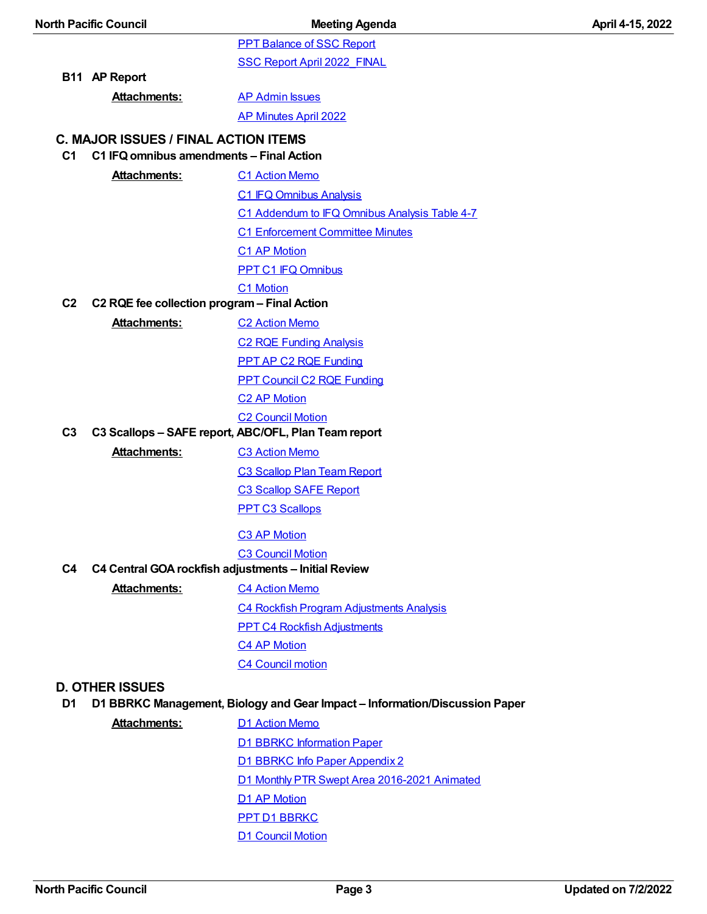| <b>North Pacific Council</b> |                                                      | <b>Meeting Agenda</b>                                                       | April 4-15, 2022 |
|------------------------------|------------------------------------------------------|-----------------------------------------------------------------------------|------------------|
|                              |                                                      | <b>PPT Balance of SSC Report</b>                                            |                  |
|                              |                                                      | <b>SSC Report April 2022 FINAL</b>                                          |                  |
|                              | B11 AP Report                                        |                                                                             |                  |
|                              | <b>Attachments:</b>                                  | <b>AP Admin Issues</b>                                                      |                  |
|                              |                                                      | <b>AP Minutes April 2022</b>                                                |                  |
|                              | <b>C. MAJOR ISSUES / FINAL ACTION ITEMS</b>          |                                                                             |                  |
| C <sub>1</sub>               | C1 IFQ omnibus amendments - Final Action             |                                                                             |                  |
|                              | <b>Attachments:</b>                                  | <b>C1 Action Memo</b>                                                       |                  |
|                              |                                                      | <b>C1 IFQ Omnibus Analysis</b>                                              |                  |
|                              |                                                      | C1 Addendum to IFQ Omnibus Analysis Table 4-7                               |                  |
|                              |                                                      | C1 Enforcement Committee Minutes                                            |                  |
|                              |                                                      | <b>C1 AP Motion</b>                                                         |                  |
|                              |                                                      | <b>PPT C1 IFQ Omnibus</b>                                                   |                  |
|                              |                                                      | C1 Motion                                                                   |                  |
| C <sub>2</sub>               |                                                      | C2 RQE fee collection program - Final Action                                |                  |
|                              | <b>Attachments:</b>                                  | <b>C2 Action Memo</b>                                                       |                  |
|                              |                                                      | <b>C2 RQE Funding Analysis</b>                                              |                  |
|                              |                                                      | PPT AP C2 RQE Funding                                                       |                  |
|                              |                                                      | <b>PPT Council C2 RQE Funding</b>                                           |                  |
|                              |                                                      | <b>C2 AP Motion</b>                                                         |                  |
|                              |                                                      | <b>C2 Council Motion</b>                                                    |                  |
| C <sub>3</sub>               | C3 Scallops - SAFE report, ABC/OFL, Plan Team report |                                                                             |                  |
|                              | <b>Attachments:</b>                                  | <b>C3 Action Memo</b>                                                       |                  |
|                              |                                                      | <b>C3 Scallop Plan Team Report</b>                                          |                  |
|                              |                                                      | <b>C3 Scallop SAFE Report</b>                                               |                  |
|                              |                                                      | <b>PPT C3 Scallops</b>                                                      |                  |
|                              |                                                      | <b>C3 AP Motion</b>                                                         |                  |
|                              |                                                      | <b>C3 Council Motion</b>                                                    |                  |
| C4                           |                                                      | C4 Central GOA rockfish adjustments - Initial Review                        |                  |
|                              | <b>Attachments:</b>                                  | <b>C4 Action Memo</b>                                                       |                  |
|                              |                                                      | C4 Rockfish Program Adjustments Analysis                                    |                  |
|                              |                                                      | <b>PPT C4 Rockfish Adjustments</b>                                          |                  |
|                              |                                                      | <b>C4 AP Motion</b>                                                         |                  |
|                              |                                                      | <b>C4 Council motion</b>                                                    |                  |
|                              | <b>D. OTHER ISSUES</b>                               |                                                                             |                  |
| D <sub>1</sub>               |                                                      | D1 BBRKC Management, Biology and Gear Impact - Information/Discussion Paper |                  |
|                              | <b>Attachments:</b>                                  | <b>D1 Action Memo</b>                                                       |                  |
|                              |                                                      | <b>D1 BBRKC Information Paper</b>                                           |                  |
|                              |                                                      | D1 BBRKC Info Paper Appendix 2                                              |                  |
|                              |                                                      | D1 Monthly PTR Swept Area 2016-2021 Animated                                |                  |
|                              |                                                      | <b>D1 AP Motion</b>                                                         |                  |
|                              |                                                      |                                                                             |                  |

PPT D1 [BBRKC](https://meetings.npfmc.org/CommentReview/DownloadFile?p=79eb7c12-4dd0-4082-9280-136bae70416d.pdf&fileName=PPT%20D1%20BBRKC.pdf)

D1 [Council](https://meetings.npfmc.org/CommentReview/DownloadFile?p=b7f81720-3c50-4a54-b80c-e694f94345ec.pdf&fileName=D1%20Council%20Motion.pdf) Motion